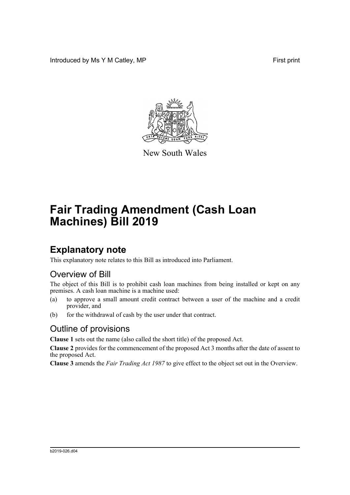Introduced by Ms Y M Catley, MP **First** print



New South Wales

# **Fair Trading Amendment (Cash Loan Machines) Bill 2019**

## **Explanatory note**

This explanatory note relates to this Bill as introduced into Parliament.

#### Overview of Bill

The object of this Bill is to prohibit cash loan machines from being installed or kept on any premises. A cash loan machine is a machine used:

- (a) to approve a small amount credit contract between a user of the machine and a credit provider, and
- (b) for the withdrawal of cash by the user under that contract.

#### Outline of provisions

**Clause 1** sets out the name (also called the short title) of the proposed Act.

**Clause 2** provides for the commencement of the proposed Act 3 months after the date of assent to the proposed Act.

**Clause 3** amends the *Fair Trading Act 1987* to give effect to the object set out in the Overview.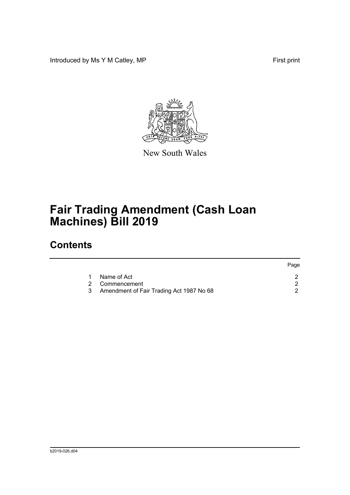Introduced by Ms Y M Catley, MP **First** print



New South Wales

# **Fair Trading Amendment (Cash Loan Machines) Bill 2019**

### **Contents**

|              |                                          | Page |
|--------------|------------------------------------------|------|
| $\mathbf{1}$ | Name of Act                              |      |
|              | 2 Commencement                           |      |
| 3            | Amendment of Fair Trading Act 1987 No 68 |      |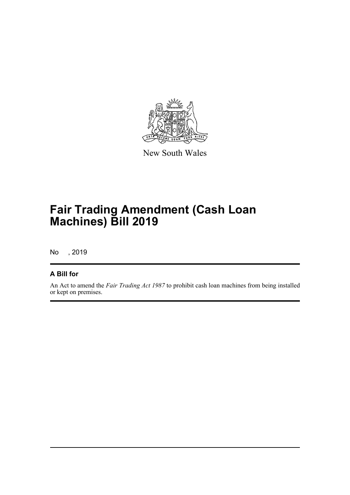

New South Wales

## **Fair Trading Amendment (Cash Loan Machines) Bill 2019**

No , 2019

#### **A Bill for**

An Act to amend the *Fair Trading Act 1987* to prohibit cash loan machines from being installed or kept on premises.